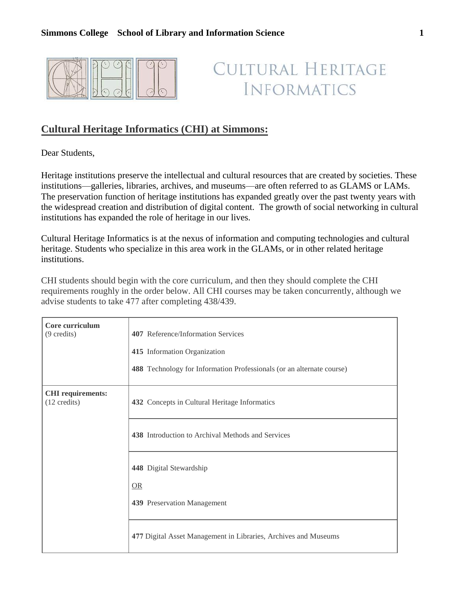

## CULTURAL HERITAGE **INFORMATICS**

## **Cultural Heritage Informatics (CHI) at Simmons:**

Dear Students,

Heritage institutions preserve the intellectual and cultural resources that are created by societies. These institutions—galleries, libraries, archives, and museums—are often referred to as GLAMS or LAMs. The preservation function of heritage institutions has expanded greatly over the past twenty years with the widespread creation and distribution of digital content. The growth of social networking in cultural institutions has expanded the role of heritage in our lives.

Cultural Heritage Informatics is at the nexus of information and computing technologies and cultural heritage. Students who specialize in this area work in the GLAMs, or in other related heritage institutions.

CHI students should begin with the core curriculum, and then they should complete the CHI requirements roughly in the order below. All CHI courses may be taken concurrently, although we advise students to take 477 after completing 438/439.

| Core curriculum<br>$(9 \text{ credits})$           | 407 Reference/Information Services<br>415 Information Organization<br>488 Technology for Information Professionals (or an alternate course) |
|----------------------------------------------------|---------------------------------------------------------------------------------------------------------------------------------------------|
| <b>CHI</b> requirements:<br>$(12 \text{ credits})$ | 432 Concepts in Cultural Heritage Informatics                                                                                               |
|                                                    | 438 Introduction to Archival Methods and Services<br>448 Digital Stewardship<br>OR                                                          |
|                                                    | 439 Preservation Management                                                                                                                 |
|                                                    | 477 Digital Asset Management in Libraries, Archives and Museums                                                                             |